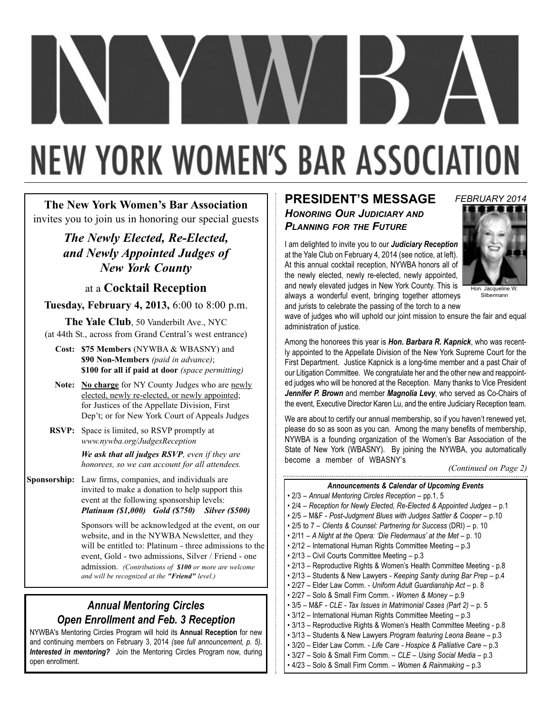# **NEW YORK WOMEN'S BAR ASSOCIATION**

**The New York Women's Bar Association** invites you to join us in honoring our special guests

> *The Newly Elected, Re-Elected, and Newly Appointed Judges of New York County*

> > at a **Cocktail Reception**

**Tuesday, February 4, 2013,** 6:00 to 8:00 p.m.

**The Yale Club**, 50 Vanderbilt Ave., NYC (at 44th St., across from Grand Central's west entrance)

**Cost: \$75 Members** (NYWBA & WBASNY) and **\$90 Non-Members** *(paid in advance)*; **\$100 for all if paid at door** *(space permitting)*

- Note: No charge for NY County Judges who are newly elected, newly re-elected, or newly appointed; for Justices of the Appellate Division, First Dep't; or for New York Court of Appeals Judges
- **RSVP:** Space is limited, so RSVP promptly at *www.nywba.org/JudgesReception*

*We ask that all judges RSVP, even if they are honorees, so we can account for all attendees.*

**Sponsorship:** Law firms, companies, and individuals are invited to make a donation to help support this event at the following sponsorship levels: *Platinum (\$1,000) Gold (\$750) Silver (\$500)*

> Sponsors will be acknowledged at the event, on our website, and in the NYWBA Newsletter, and they will be entitled to: Platinum - three admissions to the event, Gold - two admissions, Silver / Friend - one admission. *(Contributions of \$100 or more are welcome and will be recognized at the "Friend" level.)*

# *Annual Mentoring Circles Open Enrollment and Feb. 3 Reception*

NYWBA's Mentoring Circles Program will hold its **Annual Reception** for new and continuing members on February 3, 2014 *(see full announcement, p. 5)*. *Interested in mentoring?* Join the Mentoring Circles Program now, during open enrollment.

# **PRESIDENT'S MESSAGE** *HONORING OUR JUDICIARY AND PLANNING FOR THE FUTURE*

I am delighted to invite you to our *Judiciary Reception* at the Yale Club on February 4, 2014 (see notice, at left). At this annual cocktail reception, NYWBA honors all of the newly elected, newly re-elected, newly appointed, and newly elevated judges in New York County. This is always a wonderful event, bringing together attorneys and jurists to celebrate the passing of the torch to a new



Hon. Jacqueline W. Silbermann

wave of judges who will uphold our joint mission to ensure the fair and equal administration of justice.

Among the honorees this year is *Hon. Barbara R. Kapnick*, who was recently appointed to the Appellate Division of the New York Supreme Court for the First Department. Justice Kapnick is a long-time member and a past Chair of our Litigation Committee. We congratulate her and the other new and reappointed judges who will be honored at the Reception. Many thanks to Vice President *Jennifer P. Brown* and member *Magnolia Levy*, who served as Co-Chairs of the event, Executive Director Karen Lu, and the entire Judiciary Reception team.

We are about to certify our annual membership, so if you haven't renewed yet, please do so as soon as you can. Among the many benefits of membership, NYWBA is a founding organization of the Women's Bar Association of the State of New York (WBASNY). By joining the NYWBA, you automatically become a member of WBASNY's

#### *Announcements & Calendar of Upcoming Events*

- 2/3 *Annual Mentoring Circles Reception* pp.1, 5
- 2/4 *Reception for Newly Elected, Re-Elected & Appointed Judges* p.1
- 2/5 M&F *Post-Judgment Blues with Judges Sattler & Cooper* p.10
- 2/5 to 7 *Clients & Counsel: Partnering for Success* (DRI) p. 10
- 2/11 *A Night at the Opera: 'Die Fledermaus' at the Met* p. 10
- 2/12 International Human Rights Committee Meeting p.3
- 2/13 Civil Courts Committee Meeting p.3
- 2/13 Reproductive Rights & Women's Health Committee Meeting p.8
- 2/13 Students & New Lawyers *Keeping Sanity during Bar Prep* p.4
- 2/27 Elder Law Comm. *Uniform Adult Guardianship Act* p. 8
- 2/27 Solo & Small Firm Comm. *Women & Money* p.9
- 3/5 M&F *CLE Tax Issues in Matrimonial Cases (Part 2)* p. 5
- 3/12 International Human Rights Committee Meeting p.3
- 3/13 Reproductive Rights & Women's Health Committee Meeting p.8
- 3/13 Students & New Lawyers *Program featuring Leona Beane*  p.3
- 3/20 Elder Law Comm. *Life Care Hospice & Palliative Care*  p.3 • 3/27 – Solo & Small Firm Comm. – *CLE – Using Social Media* – p.3
- 
- 4/23 Solo & Small Firm Comm. *Women & Rainmaking* p.3

*<sup>(</sup>Continued on Page 2)*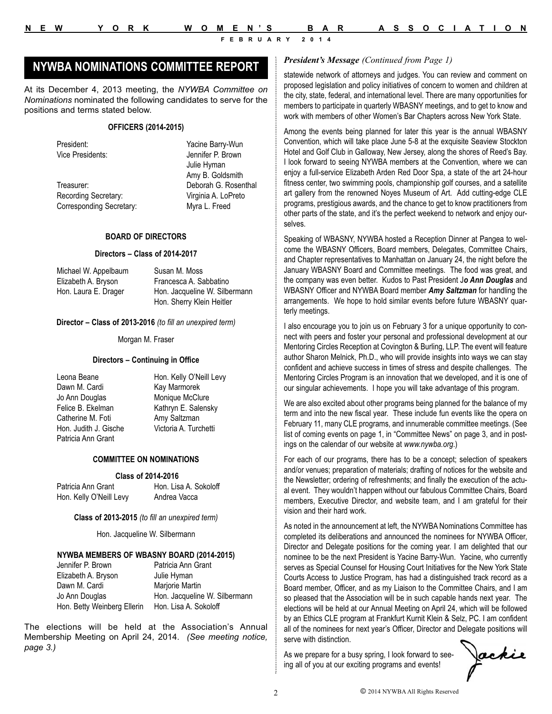# *President's Message (Continued from Page 1)* **NYWBA NOMINATIONS COMMITTEE REPORT**

At its December 4, 2013 meeting, the *NYWBA Committee on Nominations* nominated the following candidates to serve for the positions and terms stated below.

#### **OFFICERS (2014-2015)**

President: Yacine Barry-Wun

Treasurer: Deborah G. Rosenthal Recording Secretary: Virginia A. LoPreto Corresponding Secretary: Myra L. Freed

Vice Presidents: Jennifer P. Brown Julie Hyman Amy B. Goldsmith

#### **BOARD OF DIRECTORS**

#### **Directors – Class of 2014-2017**

Michael W. Appelbaum Susan M. Moss Elizabeth A. Bryson Francesca A. Sabbatino Hon. Laura E. Drager Hon. Jacqueline W. Silbermann

Hon. Sherry Klein Heitler

**Director – Class of 2013-2016** *(to fill an unexpired term)*

Morgan M. Fraser

#### **Directors – Continuing in Office**

Leona Beane **Hon. Kelly O'Neill Levy** Dawn M. Cardi Kay Marmorek Jo Ann Douglas Monique McClure Felice B. Ekelman Kathryn E. Salensky Catherine M. Foti **Amy Saltzman** Hon. Judith J. Gische Victoria A. Turchetti Patricia Ann Grant

#### **COMMITTEE ON NOMINATIONS**

#### **Class of 2014-2016**

Hon. Kelly O'Neill Levy Andrea Vacca

Patricia Ann Grant Hon. Lisa A. Sokoloff

**Class of 2013-2015** *(to fill an unexpired term)*

Hon. Jacqueline W. Silbermann

#### **NYWBA MEMBERS OF WBASNY BOARD (2014-2015)**

| Jennifer P. Brown           | Patricia Ann Grant            |
|-----------------------------|-------------------------------|
| Elizabeth A. Bryson         | Julie Hyman                   |
| Dawn M. Cardi               | Marjorie Martin               |
| Jo Ann Douglas              | Hon. Jacqueline W. Silbermann |
| Hon. Betty Weinberg Ellerin | Hon. Lisa A. Sokoloff         |

The elections will be held at the Association's Annual Membership Meeting on April 24, 2014. *(See meeting notice, page 3.)*

statewide network of attorneys and judges. You can review and comment on proposed legislation and policy initiatives of concern to women and children at the city, state, federal, and international level. There are many opportunities for members to participate in quarterly WBASNY meetings, and to get to know and work with members of other Women's Bar Chapters across New York State.

Among the events being planned for later this year is the annual WBASNY Convention, which will take place June 5-8 at the exquisite Seaview Stockton Hotel and Golf Club in Galloway, New Jersey, along the shores of Reed's Bay. I look forward to seeing NYWBA members at the Convention, where we can enjoy a full-service Elizabeth Arden Red Door Spa, a state of the art 24-hour fitness center, two swimming pools, championship golf courses, and a satellite art gallery from the renowned Noyes Museum of Art. Add cutting-edge CLE programs, prestigious awards, and the chance to get to know practitioners from other parts of the state, and it's the perfect weekend to network and enjoy ourselves.

Speaking of WBASNY, NYWBA hosted a Reception Dinner at Pangea to welcome the WBASNY Officers, Board members, Delegates, Committee Chairs, and Chapter representatives to Manhattan on January 24, the night before the January WBASNY Board and Committee meetings. The food was great, and the company was even better. Kudos to Past President J*o Ann Douglas* and WBASNY Officer and NYWBA Board member *Amy Saltzman* for handling the arrangements. We hope to hold similar events before future WBASNY quarterly meetings.

I also encourage you to join us on February 3 for a unique opportunity to connect with peers and foster your personal and professional development at our Mentoring Circles Reception at Covington & Burling, LLP. The event will feature author Sharon Melnick, Ph.D., who will provide insights into ways we can stay confident and achieve success in times of stress and despite challenges. The Mentoring Circles Program is an innovation that we developed, and it is one of our singular achievements. I hope you will take advantage of this program.

We are also excited about other programs being planned for the balance of my term and into the new fiscal year. These include fun events like the opera on February 11, many CLE programs, and innumerable committee meetings. (See list of coming events on page 1, in "Committee News" on page 3, and in postings on the calendar of our website at *www.nywba.org*.)

For each of our programs, there has to be a concept; selection of speakers and/or venues; preparation of materials; drafting of notices for the website and the Newsletter; ordering of refreshments; and finally the execution of the actual event. They wouldn't happen without our fabulous Committee Chairs, Board members, Executive Director, and website team, and I am grateful for their vision and their hard work.

As noted in the announcement at left, the NYWBA Nominations Committee has completed its deliberations and announced the nominees for NYWBA Officer, Director and Delegate positions for the coming year. I am delighted that our nominee to be the next President is Yacine Barry-Wun. Yacine, who currently serves as Special Counsel for Housing Court Initiatives for the New York State Courts Access to Justice Program, has had a distinguished track record as a Board member, Officer, and as my Liaison to the Committee Chairs, and I am so pleased that the Association will be in such capable hands next year. The elections will be held at our Annual Meeting on April 24, which will be followed by an Ethics CLE program at Frankfurt Kurnit Klein & Selz, PC. I am confident all of the nominees for next year's Officer, Director and Delegate positions will serve with distinction.

As we prepare for a busy spring, I look forward to seeing all of you at our exciting programs and events!

Jackie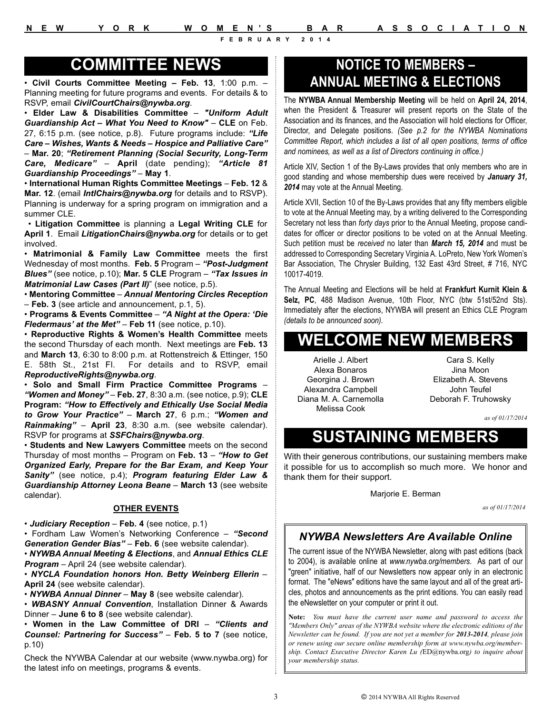# **COMMITTEE NEWS**

• **Civil Courts Committee Meeting – Feb. 13**, 1:00 p.m. – Planning meeting for future programs and events. For details & to RSVP, email *CivilCourtChairs@nywba.org*.

• **Elder Law & Disabilities Committee** – *"Uniform Adult Guardianship Act – What You Need to Know"* – **CLE** on Feb. 27, 6:15 p.m. (see notice, p.8). Future programs include: *"Life Care – Wishes, Wants & Needs – Hospice and Palliative Care"* – **Mar. 20**; *"Retirement Planning (Social Security, Long-Term Care, Medicare"* – **April** (date pending); *"Article 81 Guardianship Proceedings"* – **May 1**.

• **International Human Rights Committee Meetings** – **Feb. 12** & **Mar. 12**. (email *IntlChairs@nywba.org* for details and to RSVP). Planning is underway for a spring program on immigration and a summer CLE.

• **Litigation Committee** is planning a **Legal Writing CLE** for **April 1**. Email *LitigationChairs@nywba.org* for details or to get involved.

• **Matrimonial & Family Law Committee** meets the first Wednesday of most months. **Feb. 5** Program – *"Post-Judgment Blues"* (see notice, p.10); **Mar. 5 CLE** Program – *"Tax Issues in Matrimonial Law Cases (Part II)*" (see notice, p.5).

• **Mentoring Committee** – *Annual Mentoring Circles Reception* – **Feb. 3** (see article and announcement, p.1, 5).

• **Programs & Events Committee** – *"A Night at the Opera: 'Die Fledermaus' at the Met"* – **Feb 11** (see notice, p.10).

• **Reproductive Rights & Women's Health Committee** meets the second Thursday of each month. Next meetings are **Feb. 13** and **March 13**, 6:30 to 8:00 p.m. at Rottenstreich & Ettinger, 150 E. 58th St., 21st Fl. For details and to RSVP, email *ReproductiveRights@nywba.org*.

• **Solo and Small Firm Practice Committee Programs** – *"Women and Money"* – **Feb. 27**, 8:30 a.m. (see notice, p.9); **CLE Program:** *"How to Effectively and Ethically Use Social Media to Grow Your Practice"* – **March 27**, 6 p.m.; *"Women and Rainmaking"* – **April 23**, 8:30 a.m. (see website calendar). RSVP for programs at *SSFChairs@nywba.org*.

• **Students and New Lawyers Committee** meets on the second Thursday of most months – Program on **Feb. 13** – *"How to Get Organized Early, Prepare for the Bar Exam, and Keep Your Sanity"* (see notice, p.4); *Program featuring Elder Law & Guardianship Attorney Leona Beane* – **March 13** (see website calendar).

#### **OTHER EVENTS**

• *Judiciary Reception* – **Feb. 4** (see notice, p.1)

• Fordham Law Women's Networking Conference – *"Second Generation Gender Bias"* – **Feb. 6** (see website calendar).

• *NYWBA Annual Meeting & Elections*, and *Annual Ethics CLE Program* – April 24 (see website calendar).

• *NYCLA Foundation honors Hon. Betty Weinberg Ellerin* – **April 24** (see website calendar).

• *NYWBA Annual Dinner* – **May 8** (see website calendar).

• *WBASNY Annual Convention*, Installation Dinner & Awards Dinner – **June 6 to 8** (see website calendar).

• **Women in the Law Committee of DRI** – *"Clients and Counsel: Partnering for Success"* – **Feb. 5 to 7** (see notice, p.10)

Check the NYWBA Calendar at our website (www.nywba.org) for the latest info on meetings, programs & events.

# **NOTICE TO MEMBERS – ANNUAL MEETING & ELECTIONS**

The **NYWBA Annual Membership Meeting** will be held on **April 24, 2014**, when the President & Treasurer will present reports on the State of the Association and its finances, and the Association will hold elections for Officer, Director, and Delegate positions. *(See p.2 for the NYWBA Nominations Committee Report, which includes a list of all open positions, terms of office and nominees, as well as a list of Directors continuing in office.)*

Article XIV, Section 1 of the By-Laws provides that only members who are in good standing and whose membership dues were received by *January 31, 2014* may vote at the Annual Meeting.

Article XVII, Section 10 of the By-Laws provides that any fifty members eligible to vote at the Annual Meeting may, by a writing delivered to the Corresponding Secretary not less than *forty days* prior to the Annual Meeting, propose candidates for officer or director positions to be voted on at the Annual Meeting. Such petition must be *received* no later than *March 15, 2014* and must be addressed to Corresponding Secretary Virginia A. LoPreto, New York Women's Bar Association, The Chrysler Building, 132 East 43rd Street, # 716, NYC 10017-4019.

The Annual Meeting and Elections will be held at **Frankfurt Kurnit Klein & Selz, PC**, 488 Madison Avenue, 10th Floor, NYC (btw 51st/52nd Sts). Immediately after the elections, NYWBA will present an Ethics CLE Program *(details to be announced soon).*

# **WELCOME NEW MEMBERS**

Arielle J. Albert Alexa Bonaros Georgina J. Brown Alexandra Campbell Diana M. A. Carnemolla Melissa Cook

Cara S. Kelly Jina Moon Elizabeth A. Stevens John Teufel Deborah F. Truhowsky

*as of 01/17/2014*

# **SUSTAINING MEMBERS**

With their generous contributions, our sustaining members make it possible for us to accomplish so much more. We honor and thank them for their support.

Marjorie E. Berman

*as of 01/17/2014*

#### *NYWBA Newsletters Are Available Online*

The current issue of the NYWBA Newsletter, along with past editions (back to 2004), is available online at *www.nywba.org/members*. As part of our "green" initiative, half of our Newsletters now appear only in an electronic format. The "eNews" editions have the same layout and all of the great articles, photos and announcements as the print editions. You can easily read the eNewsletter on your computer or print it out.

**Note:** *You must have the current user name and password to access the "Members Only" areas of the NYWBA website where the electronic editions of the Newsletter can be found. If you are not yet a member for 2013-2014, please join or renew using our secure online membership form at www.nywba.org/membership. Contact Executive Director Karen Lu (*ED@nywba.org*) to inquire about your membership status.*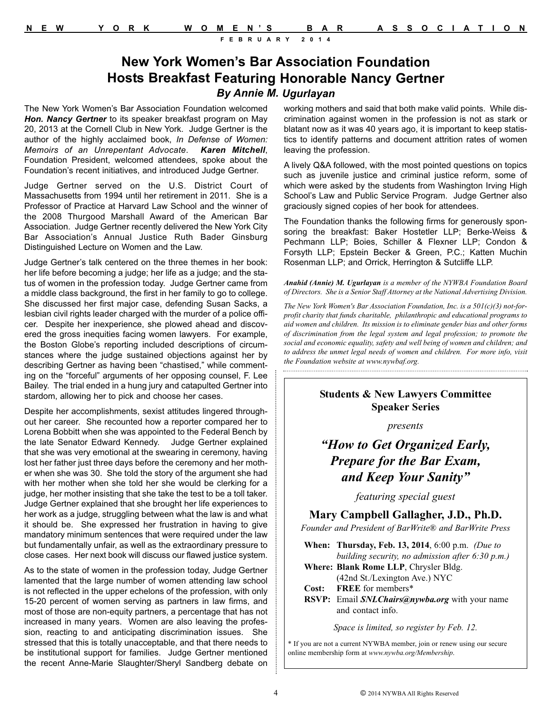# **New York Women's Bar Association Foundation Hosts Breakfast Featuring Honorable Nancy Gertner** *By Annie M. Ugurlayan*

The New York Women's Bar Association Foundation welcomed *Hon. Nancy Gertner* to its speaker breakfast program on May 20, 2013 at the Cornell Club in New York. Judge Gertner is the author of the highly acclaimed book, *In Defense of Women: Memoirs of an Unrepentant Advocate*. *Karen Mitchell*, Foundation President, welcomed attendees, spoke about the Foundation's recent initiatives, and introduced Judge Gertner.

Judge Gertner served on the U.S. District Court of Massachusetts from 1994 until her retirement in 2011. She is a Professor of Practice at Harvard Law School and the winner of the 2008 Thurgood Marshall Award of the American Bar Association. Judge Gertner recently delivered the New York City Bar Association's Annual Justice Ruth Bader Ginsburg Distinguished Lecture on Women and the Law.

Judge Gertner's talk centered on the three themes in her book: her life before becoming a judge; her life as a judge; and the status of women in the profession today. Judge Gertner came from a middle class background, the first in her family to go to college. She discussed her first major case, defending Susan Sacks, a lesbian civil rights leader charged with the murder of a police officer. Despite her inexperience, she plowed ahead and discovered the gross inequities facing women lawyers. For example, the Boston Globe's reporting included descriptions of circumstances where the judge sustained objections against her by describing Gertner as having been "chastised," while commenting on the "forceful" arguments of her opposing counsel, F. Lee Bailey. The trial ended in a hung jury and catapulted Gertner into stardom, allowing her to pick and choose her cases.

Despite her accomplishments, sexist attitudes lingered throughout her career. She recounted how a reporter compared her to Lorena Bobbitt when she was appointed to the Federal Bench by the late Senator Edward Kennedy. Judge Gertner explained that she was very emotional at the swearing in ceremony, having lost her father just three days before the ceremony and her mother when she was 30. She told the story of the argument she had with her mother when she told her she would be clerking for a judge, her mother insisting that she take the test to be a toll taker. Judge Gertner explained that she brought her life experiences to her work as a judge, struggling between what the law is and what it should be. She expressed her frustration in having to give mandatory minimum sentences that were required under the law but fundamentally unfair, as well as the extraordinary pressure to close cases. Her next book will discuss our flawed justice system.

As to the state of women in the profession today, Judge Gertner lamented that the large number of women attending law school is not reflected in the upper echelons of the profession, with only 15-20 percent of women serving as partners in law firms, and most of those are non-equity partners, a percentage that has not increased in many years. Women are also leaving the profession, reacting to and anticipating discrimination issues. She stressed that this is totally unacceptable, and that there needs to be institutional support for families. Judge Gertner mentioned the recent Anne-Marie Slaughter/Sheryl Sandberg debate on

working mothers and said that both make valid points. While discrimination against women in the profession is not as stark or blatant now as it was 40 years ago, it is important to keep statistics to identify patterns and document attrition rates of women leaving the profession.

A lively Q&A followed, with the most pointed questions on topics such as juvenile justice and criminal justice reform, some of which were asked by the students from Washington Irving High School's Law and Public Service Program. Judge Gertner also graciously signed copies of her book for attendees.

The Foundation thanks the following firms for generously sponsoring the breakfast: Baker Hostetler LLP; Berke-Weiss & Pechmann LLP; Boies, Schiller & Flexner LLP; Condon & Forsyth LLP; Epstein Becker & Green, P.C.; Katten Muchin Rosenman LLP; and Orrick, Herrington & Sutcliffe LLP.

*Anahid (Annie) M. Ugurlayan is a member of the NYWBA Foundation Board of Directors. She is a Senior Staff Attorney at the National Advertising Division.* 

*The New York Women's Bar Association Foundation, Inc. is a 501(c)(3) not-forprofit charity that funds charitable, philanthropic and educational programs to aid women and children. Its mission is to eliminate gender bias and other forms of discrimination from the legal system and legal profession; to promote the social and economic equality, safety and well being of women and children; and to address the unmet legal needs of women and children. For more info, visit the Foundation website at www.nywbaf.org.* 

#### **Students & New Lawyers Committee Speaker Series**

*presents*

# *"How to Get Organized Early, Prepare for the Bar Exam, and Keep Your Sanity"*

*featuring special guest*

#### **Mary Campbell Gallagher, J.D., Ph.D.**

*Founder and President of BarWrite® and BarWrite Press*

**When: Thursday, Feb. 13, 2014**, 6:00 p.m. *(Due to building security, no admission after 6:30 p.m.)*

- **Where: Blank Rome LLP**, Chrysler Bldg. (42nd St./Lexington Ave.) NYC
- **Cost: FREE** for members\*
- **RSVP:** Email *SNLChairs@nywba.org* with your name and contact info.

*Space is limited, so register by Feb. 12.*

\* If you are not a current NYWBA member, join or renew using our secure online membership form at *www.nywba.org/Membership*.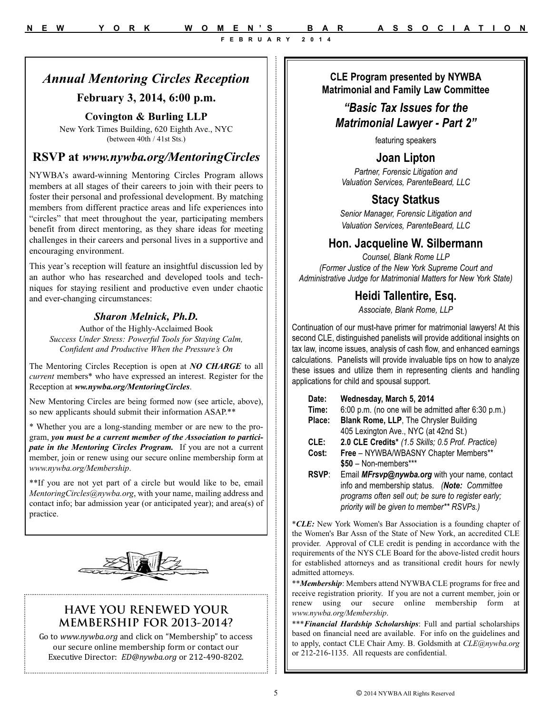**CLE Program presented by NYWBA Matrimonial and Family Law Committee**

# *"Basic Tax Issues for the*

# *Matrimonial Lawyer - Part 2"*

featuring speakers

### **Joan Lipton**

*Partner, Forensic Litigation and Valuation Services, ParenteBeard, LLC*

# **Stacy Statkus**

*Senior Manager, Forensic Litigation and Valuation Services, ParenteBeard, LLC*

### **Hon. Jacqueline W. Silbermann**

*Counsel, Blank Rome LLP (Former Justice of the New York Supreme Court and Administrative Judge for Matrimonial Matters for New York State)* 

#### **Heidi Tallentire, Esq.**

*Associate, Blank Rome, LLP* 

Continuation of our must-have primer for matrimonial lawyers! At this second CLE, distinguished panelists will provide additional insights on tax law, income issues, analysis of cash flow, and enhanced earnings calculations. Panelists will provide invaluable tips on how to analyze these issues and utilize them in representing clients and handling applications for child and spousal support.

| Date:<br>Time: | Wednesday, March 5, 2014<br>6:00 p.m. (no one will be admitted after 6:30 p.m.)                                                                                                                     |  |
|----------------|-----------------------------------------------------------------------------------------------------------------------------------------------------------------------------------------------------|--|
| Place:         | Blank Rome, LLP, The Chrysler Building                                                                                                                                                              |  |
|                | 405 Lexington Ave., NYC (at 42nd St.)                                                                                                                                                               |  |
| CLE:           | 2.0 CLE Credits* (1.5 Skills; 0.5 Prof. Practice)                                                                                                                                                   |  |
| Cost:          | Free - NYWBA/WBASNY Chapter Members**                                                                                                                                                               |  |
|                | \$50 - Non-members***                                                                                                                                                                               |  |
| <b>RSVP</b>    | Email MFrsvp@nywba.org with your name, contact<br>info and membership status. (Note: Committee<br>programs often sell out; be sure to register early;<br>priority will be given to member** RSVPs.) |  |

\**CLE:* New York Women's Bar Association is a founding chapter of the Women's Bar Assn of the State of New York, an accredited CLE provider. Approval of CLE credit is pending in accordance with the requirements of the NYS CLE Board for the above-listed credit hours for established attorneys and as transitional credit hours for newly admitted attorneys.

\*\**Membership*: Members attend NYWBA CLE programs for free and receive registration priority. If you are not a current member, join or renew using our secure online membership form at *www.nywba.org/Membership*.

\*\*\**Financial Hardship Scholarships*: Full and partial scholarships based on financial need are available. For info on the guidelines and to apply, contact CLE Chair Amy. B. Goldsmith at *CLE@nywba.org* or 212-216-1135. All requests are confidential.

# *Annual Mentoring Circles Reception*

#### **February 3, 2014, 6:00 p.m.**

#### **Covington & Burling LLP**

New York Times Building, 620 Eighth Ave., NYC (between 40th / 41st Sts.)

### **RSVP at** *www.nywba.org/MentoringCircles*

NYWBA's award-winning Mentoring Circles Program allows members at all stages of their careers to join with their peers to foster their personal and professional development. By matching members from different practice areas and life experiences into "circles" that meet throughout the year, participating members benefit from direct mentoring, as they share ideas for meeting challenges in their careers and personal lives in a supportive and encouraging environment.

This year's reception will feature an insightful discussion led by an author who has researched and developed tools and techniques for staying resilient and productive even under chaotic and ever-changing circumstances:

#### *Sharon Melnick, Ph.D.*

Author of the Highly-Acclaimed Book *Success Under Stress: Powerful Tools for Staying Calm, Confident and Productive When the Pressure's On*

The Mentoring Circles Reception is open at *NO CHARGE* to all *current* members\* who have expressed an interest. Register for the Reception at *ww.nywba.org/MentoringCircles*.

New Mentoring Circles are being formed now (see article, above), so new applicants should submit their information ASAP.\*\*

\* Whether you are a long-standing member or are new to the program, *you must be a current member of the Association to participate in the Mentoring Circles Program.* If you are not a current member, join or renew using our secure online membership form at *www.nywba.org/Membership*.

\*\*If you are not yet part of a circle but would like to be, email *MentoringCircles@nywba.org*, with your name, mailing address and contact info; bar admission year (or anticipated year); and area(s) of practice.



### **HAVE YOU RENEWED YOUR MEMBERSHIP FOR 2013-2014?**

Go to *www.nywba.org* and click on "Membership" to access our secure online membership form or contact our Executive Director: *ED@nywba.org* or 212-490-8202.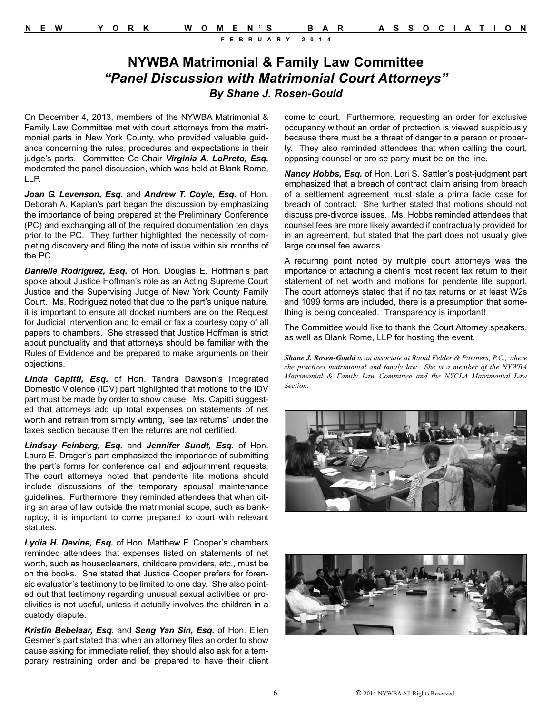# **NYWBA Matrimonial & Family Law Committee**  *"Panel Discussion with Matrimonial Court Attorneys" By Shane J. Rosen-Gould*

On December 4, 2013, members of the NYWBA Matrimonial & Family Law Committee met with court attorneys from the matrimonial parts in New York County, who provided valuable guidance concerning the rules, procedures and expectations in their judge's parts. Committee Co-Chair *Virginia A. LoPreto, Esq.* moderated the panel discussion, which was held at Blank Rome, LLP.

*Joan G. Levenson, Esq.* and *Andrew T. Coyle, Esq.* of Hon. Deborah A. Kaplan's part began the discussion by emphasizing the importance of being prepared at the Preliminary Conference (PC) and exchanging all of the required documentation ten days prior to the PC. They further highlighted the necessity of completing discovery and filing the note of issue within six months of the PC.

*Danielle Rodriguez, Esq.* of Hon. Douglas E. Hoffman's part spoke about Justice Hoffman's role as an Acting Supreme Court Justice and the Supervising Judge of New York County Family Court. Ms. Rodriguez noted that due to the part's unique nature, it is important to ensure all docket numbers are on the Request for Judicial Intervention and to email or fax a courtesy copy of all papers to chambers. She stressed that Justice Hoffman is strict about punctuality and that attorneys should be familiar with the Rules of Evidence and be prepared to make arguments on their objections.

*Linda Capitti, Esq.* of Hon. Tandra Dawson's Integrated Domestic Violence (IDV) part highlighted that motions to the IDV part must be made by order to show cause. Ms. Capitti suggested that attorneys add up total expenses on statements of net worth and refrain from simply writing, "see tax returns" under the taxes section because then the returns are not certified.

*Lindsay Feinberg, Esq.* and *Jennifer Sundt, Esq.* of Hon. Laura E. Drager's part emphasized the importance of submitting the part's forms for conference call and adjournment requests. The court attorneys noted that pendente lite motions should include discussions of the temporary spousal maintenance guidelines. Furthermore, they reminded attendees that when citing an area of law outside the matrimonial scope, such as bankruptcy, it is important to come prepared to court with relevant statutes.

*Lydia H. Devine, Esq.* of Hon. Matthew F. Cooper's chambers reminded attendees that expenses listed on statements of net worth, such as housecleaners, childcare providers, etc., must be on the books. She stated that Justice Cooper prefers for forensic evaluator's testimony to be limited to one day. She also pointed out that testimony regarding unusual sexual activities or proclivities is not useful, unless it actually involves the children in a custody dispute.

*Kristin Bebelaar, Esq.* and *Seng Yan Sin, Esq.* of Hon. Ellen Gesmer's part stated that when an attorney files an order to show cause asking for immediate relief, they should also ask for a temporary restraining order and be prepared to have their client

come to court. Furthermore, requesting an order for exclusive occupancy without an order of protection is viewed suspiciously because there must be a threat of danger to a person or property. They also reminded attendees that when calling the court, opposing counsel or pro se party must be on the line.

*Nancy Hobbs, Esq.* of Hon. Lori S. Sattler's post-judgment part emphasized that a breach of contract claim arising from breach of a settlement agreement must state a prima facie case for breach of contract. She further stated that motions should not discuss pre-divorce issues. Ms. Hobbs reminded attendees that counsel fees are more likely awarded if contractually provided for in an agreement, but stated that the part does not usually give large counsel fee awards.

A recurring point noted by multiple court attorneys was the importance of attaching a client's most recent tax return to their statement of net worth and motions for pendente lite support. The court attorneys stated that if no tax returns or at least W2s and 1099 forms are included, there is a presumption that something is being concealed. Transparency is important!

The Committee would like to thank the Court Attorney speakers, as well as Blank Rome, LLP for hosting the event.

*Shane J. Rosen-Gould is an associate at Raoul Felder & Partners, P.C., where she practices matrimonial and family law. She is a member of the NYWBA Matrimonial & Family Law Committee and the NYCLA Matrimonial Law Section.*



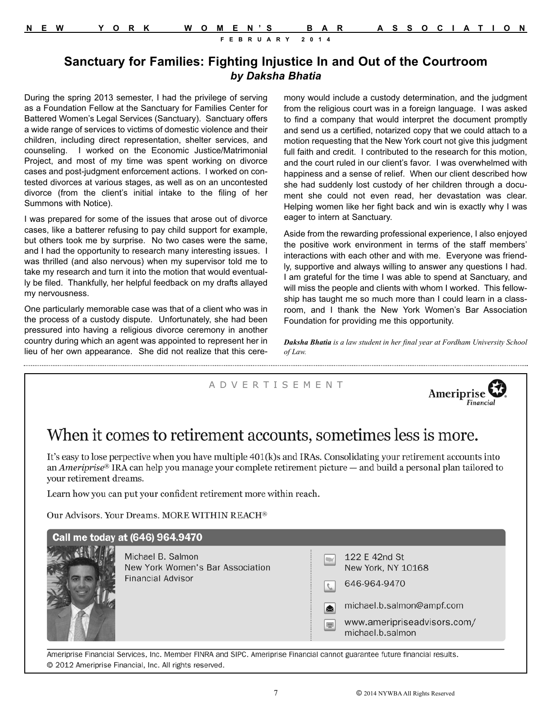### **Sanctuary for Families: Fighting Injustice In and Out of the Courtroom** *by Daksha Bhatia*

During the spring 2013 semester, I had the privilege of serving as a Foundation Fellow at the Sanctuary for Families Center for Battered Women's Legal Services (Sanctuary). Sanctuary offers a wide range of services to victims of domestic violence and their children, including direct representation, shelter services, and counseling. I worked on the Economic Justice/Matrimonial Project, and most of my time was spent working on divorce cases and post-judgment enforcement actions. I worked on contested divorces at various stages, as well as on an uncontested divorce (from the client's initial intake to the filing of her Summons with Notice).

I was prepared for some of the issues that arose out of divorce cases, like a batterer refusing to pay child support for example, but others took me by surprise. No two cases were the same, and I had the opportunity to research many interesting issues. I was thrilled (and also nervous) when my supervisor told me to take my research and turn it into the motion that would eventually be filed. Thankfully, her helpful feedback on my drafts allayed my nervousness.

One particularly memorable case was that of a client who was in the process of a custody dispute. Unfortunately, she had been pressured into having a religious divorce ceremony in another country during which an agent was appointed to represent her in lieu of her own appearance. She did not realize that this ceremony would include a custody determination, and the judgment from the religious court was in a foreign language. I was asked to find a company that would interpret the document promptly and send us a certified, notarized copy that we could attach to a motion requesting that the New York court not give this judgment full faith and credit. I contributed to the research for this motion. and the court ruled in our client's favor. I was overwhelmed with happiness and a sense of relief. When our client described how she had suddenly lost custody of her children through a document she could not even read, her devastation was clear. Helping women like her fight back and win is exactly why I was eager to intern at Sanctuary.

Aside from the rewarding professional experience, I also enjoyed the positive work environment in terms of the staff members' interactions with each other and with me. Everyone was friendly, supportive and always willing to answer any questions I had. I am grateful for the time I was able to spend at Sanctuary, and will miss the people and clients with whom I worked. This fellowship has taught me so much more than I could learn in a classroom, and I thank the New York Women's Bar Association Foundation for providing me this opportunity.

*Daksha Bhatia is a law student in her final year at Fordham University School of Law.* 

#### A D V E R T I S E M E N T



# When it comes to retirement accounts, sometimes less is more.

It's easy to lose perpective when you have multiple 401(k)s and IRAs. Consolidating your retirement accounts into an Ameriprise® IRA can help you manage your complete retirement picture — and build a personal plan tailored to vour retirement dreams.

Learn how you can put your confident retirement more within reach.

Our Advisors. Your Dreams. MORE WITHIN REACH®

| Call me today at (646) 964.9470 |  |
|---------------------------------|--|
|                                 |  |



Michael B. Salmon New York Women's Bar Association **Financial Advisor** 

|                | 122 E 42nd St<br>New York, NY 10168 |
|----------------|-------------------------------------|
|                | 646-964-9470                        |
| $ \mathbf{z} $ | michael.b.salmon@ampf.com           |
|                | www.ameripriseadvisors.co           |

/www.ameripriseadvisors.com michael.b.salmon

Ameriprise Financial Services, Inc. Member FINRA and SIPC. Ameriprise Financial cannot guarantee future financial results. @ 2012 Ameriprise Financial, Inc. All rights reserved.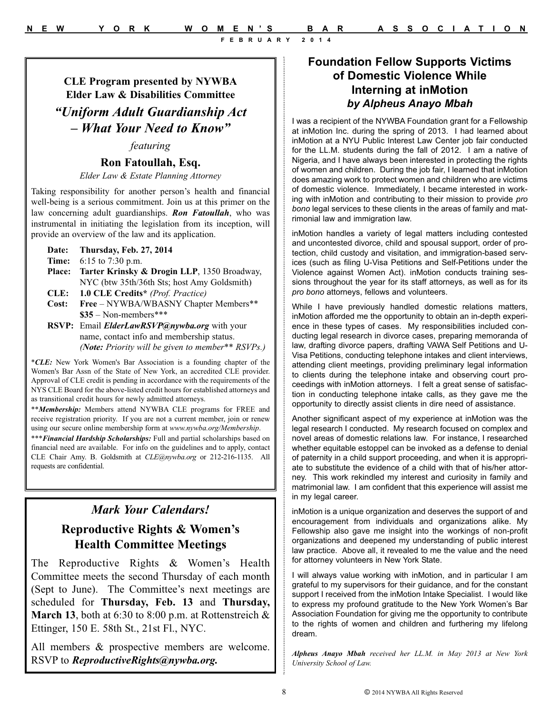# **Foundation Fellow Supports Victims of Domestic Violence While Interning at inMotion** *by Alpheus Anayo Mbah*

I was a recipient of the NYWBA Foundation grant for a Fellowship at inMotion Inc. during the spring of 2013. I had learned about inMotion at a NYU Public Interest Law Center job fair conducted for the LL.M. students during the fall of 2012. I am a native of Nigeria, and I have always been interested in protecting the rights of women and children. During the job fair, I learned that inMotion does amazing work to protect women and children who are victims of domestic violence. Immediately, I became interested in working with inMotion and contributing to their mission to provide *pro bono* legal services to these clients in the areas of family and matrimonial law and immigration law.

inMotion handles a variety of legal matters including contested and uncontested divorce, child and spousal support, order of protection, child custody and visitation, and immigration-based services (such as filing U-Visa Petitions and Self-Petitions under the Violence against Women Act). inMotion conducts training sessions throughout the year for its staff attorneys, as well as for its *pro bono* attorneys, fellows and volunteers.

While I have previously handled domestic relations matters, inMotion afforded me the opportunity to obtain an in-depth experience in these types of cases. My responsibilities included conducting legal research in divorce cases, preparing memoranda of law, drafting divorce papers, drafting VAWA Self Petitions and U-Visa Petitions, conducting telephone intakes and client interviews, attending client meetings, providing preliminary legal information to clients during the telephone intake and observing court proceedings with inMotion attorneys. I felt a great sense of satisfaction in conducting telephone intake calls, as they gave me the opportunity to directly assist clients in dire need of assistance.

Another significant aspect of my experience at inMotion was the legal research I conducted. My research focused on complex and novel areas of domestic relations law. For instance, I researched whether equitable estoppel can be invoked as a defense to denial of paternity in a child support proceeding, and when it is appropriate to substitute the evidence of a child with that of his/her attorney. This work rekindled my interest and curiosity in family and matrimonial law. I am confident that this experience will assist me in my legal career.

inMotion is a unique organization and deserves the support of and encouragement from individuals and organizations alike. My Fellowship also gave me insight into the workings of non-profit organizations and deepened my understanding of public interest law practice. Above all, it revealed to me the value and the need for attorney volunteers in New York State.

I will always value working with inMotion, and in particular I am grateful to my supervisors for their guidance, and for the constant support I received from the inMotion Intake Specialist. I would like to express my profound gratitude to the New York Women's Bar Association Foundation for giving me the opportunity to contribute to the rights of women and children and furthering my lifelong dream.

*Alpheus Anayo Mbah received her LL.M. in May 2013 at New York University School of Law.*

**CLE Program presented by NYWBA Elder Law & Disabilities Committee** *"Uniform Adult Guardianship Act – What Your Need to Know"*

#### *featuring*

# **Ron Fatoullah, Esq.**

*Elder Law & Estate Planning Attorney* 

Taking responsibility for another person's health and financial well-being is a serious commitment. Join us at this primer on the law concerning adult guardianships. *Ron Fatoullah*, who was instrumental in initiating the legislation from its inception, will provide an overview of the law and its application.

- **Date: Thursday, Feb. 27, 2014**
- **Time:** 6:15 to 7:30 p.m.
- **Place: Tarter Krinsky & Drogin LLP**, 1350 Broadway, NYC (btw 35th/36th Sts; host Amy Goldsmith)
- **CLE: 1.0 CLE Credits\*** *(Prof. Practice)*
- Free NYWBA/WBASNY Chapter Members\*\* **\$35** – Non-members\*\*\*
- **RSVP:** Email *ElderLawRSVP@nywba.org* with your name, contact info and membership status. *(Note: Priority will be given to member\*\* RSVPs.)*

\**CLE:* New York Women's Bar Association is a founding chapter of the Women's Bar Assn of the State of New York, an accredited CLE provider. Approval of CLE credit is pending in accordance with the requirements of the NYS CLE Board for the above-listed credit hours for established attorneys and as transitional credit hours for newly admitted attorneys.

\*\**Membership:* Members attend NYWBA CLE programs for FREE and receive registration priority. If you are not a current member, join or renew using our secure online membership form at *www.nywba.org/Membership*.

\*\*\**Financial Hardship Scholarships:* Full and partial scholarships based on financial need are available. For info on the guidelines and to apply, contact CLE Chair Amy. B. Goldsmith at *CLE@nywba.org* or 212-216-1135. All requests are confidential.

# *Mark Your Calendars!*

# **Reproductive Rights & Women's Health Committee Meetings**

The Reproductive Rights & Women's Health Committee meets the second Thursday of each month (Sept to June). The Committee's next meetings are scheduled for **Thursday, Feb. 13** and **Thursday,** March 13, both at 6:30 to 8:00 p.m. at Rottenstreich & Ettinger, 150 E. 58th St., 21st Fl., NYC.

All members & prospective members are welcome. RSVP to *ReproductiveRights@nywba.org.*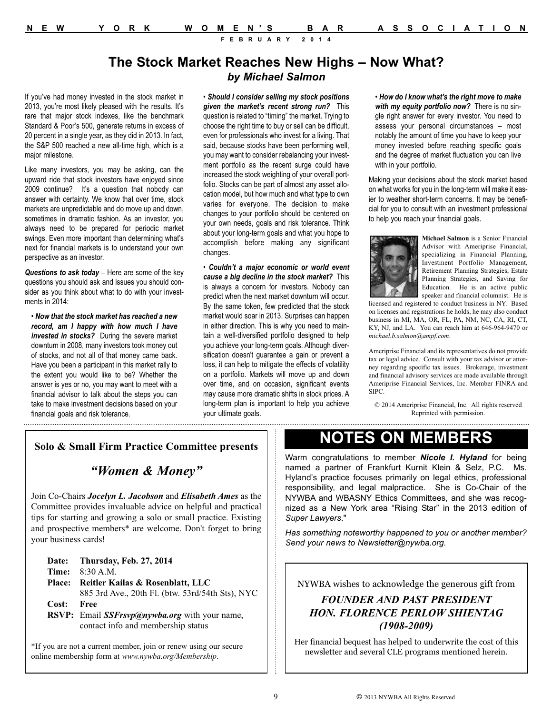# **The Stock Market Reaches New Highs – Now What?** *by Michael Salmon*

If you've had money invested in the stock market in 2013, you're most likely pleased with the results. It's rare that major stock indexes, like the benchmark Standard & Poor's 500, generate returns in excess of 20 percent in a single year, as they did in 2013. In fact, the S&P 500 reached a new all-time high, which is a major milestone.

Like many investors, you may be asking, can the upward ride that stock investors have enjoyed since 2009 continue? It's a question that nobody can answer with certainty. We know that over time, stock markets are unpredictable and do move up and down, sometimes in dramatic fashion. As an investor, you always need to be prepared for periodic market swings. Even more important than determining what's next for financial markets is to understand your own perspective as an investor.

*Questions to ask today* – Here are some of the key questions you should ask and issues you should consider as you think about what to do with your investments in 2014:

• *Now that the stock market has reached a new record, am I happy with how much I have invested in stocks?* During the severe market downturn in 2008, many investors took money out of stocks, and not all of that money came back. Have you been a participant in this market rally to the extent you would like to be? Whether the answer is yes or no, you may want to meet with a financial advisor to talk about the steps you can take to make investment decisions based on your financial goals and risk tolerance.

• *Should I consider selling my stock positions given the market's recent strong run?* This question is related to "timing" the market. Trying to choose the right time to buy or sell can be difficult, even for professionals who invest for a living. That said, because stocks have been performing well, you may want to consider rebalancing your investment portfolio as the recent surge could have increased the stock weighting of your overall portfolio. Stocks can be part of almost any asset allocation model, but how much and what type to own varies for everyone. The decision to make changes to your portfolio should be centered on your own needs, goals and risk tolerance. Think about your long-term goals and what you hope to accomplish before making any significant changes.

• *Couldn't a major economic or world event cause a big decline in the stock market?* This is always a concern for investors. Nobody can predict when the next market downturn will occur. By the same token, few predicted that the stock market would soar in 2013. Surprises can happen in either direction. This is why you need to maintain a well-diversified portfolio designed to help you achieve your long-term goals. Although diversification doesn't guarantee a gain or prevent a loss, it can help to mitigate the effects of volatility on a portfolio. Markets will move up and down over time, and on occasion, significant events may cause more dramatic shifts in stock prices. A long-term plan is important to help you achieve your ultimate goals.

• *How do I know what's the right move to make with my equity portfolio now?* There is no single right answer for every investor. You need to assess your personal circumstances – most notably the amount of time you have to keep your money invested before reaching specific goals and the degree of market fluctuation you can live with in your portfolio.

Making your decisions about the stock market based on what works for you in the long-term will make it easier to weather short-term concerns. It may be beneficial for you to consult with an investment professional to help you reach your financial goals.



**Michael Salmon** is a Senior Financial Advisor with Ameriprise Financial, specializing in Financial Planning, Investment Portfolio Management, Retirement Planning Strategies, Estate Planning Strategies, and Saving for Education. He is an active public speaker and financial columnist. He is

licensed and registered to conduct business in NY. Based on licenses and registrations he holds, he may also conduct business in MI, MA, OR, FL, PA, NM, NC, CA, RI, CT, KY, NJ, and LA. You can reach him at 646-964-9470 or *michael.b.salmon@ampf.com*.

Ameriprise Financial and its representatives do not provide tax or legal advice. Consult with your tax advisor or attorney regarding specific tax issues. Brokerage, investment and financial advisory services are made available through Ameriprise Financial Services, Inc. Member FINRA and SIPC.

© 2014 Ameriprise Financial, Inc. All rights reserved Reprinted with permission.

#### **Solo & Small Firm Practice Committee presents**

# *"Women & Money"*

Join Co-Chairs *Jocelyn L. Jacobson* and *Elisabeth Ames* as the Committee provides invaluable advice on helpful and practical tips for starting and growing a solo or small practice. Existing and prospective members\* are welcome. Don't forget to bring your business cards!

|       | Date: Thursday, Feb. 27, 2014                    |
|-------|--------------------------------------------------|
|       | <b>Time:</b> $8:30 A.M.$                         |
|       | Place: Reitler Kailas & Rosenblatt, LLC          |
|       | 885 3rd Ave., 20th Fl. (btw. 53rd/54th Sts), NYC |
| Cost: | Free                                             |
|       | RSVP: Email SSFrsvp@nywba.org with your name,    |
|       | contact info and membership status               |

\*If you are not a current member, join or renew using our secure online membership form at *www.nywba.org/Membership*.

# **NOTES ON MEMBERS**

Warm congratulations to member *Nicole I. Hyland* for being named a partner of Frankfurt Kurnit Klein & Selz, P.C. Ms. Hyland's practice focuses primarily on legal ethics, professional responsibility, and legal malpractice. She is Co-Chair of the NYWBA and WBASNY Ethics Committees, and she was recognized as a New York area "Rising Star" in the 2013 edition of *Super Lawyers*."

*Has something noteworthy happened to you or another member? Send your news to Newsletter@nywba.org.*

NYWBA wishes to acknowledge the generous gift from

#### *FOUNDER AND PAST PRESIDENT HON. FLORENCE PERLOW SHIENTAG (1908-2009)*

Her financial bequest has helped to underwrite the cost of this newsletter and several CLE programs mentioned herein.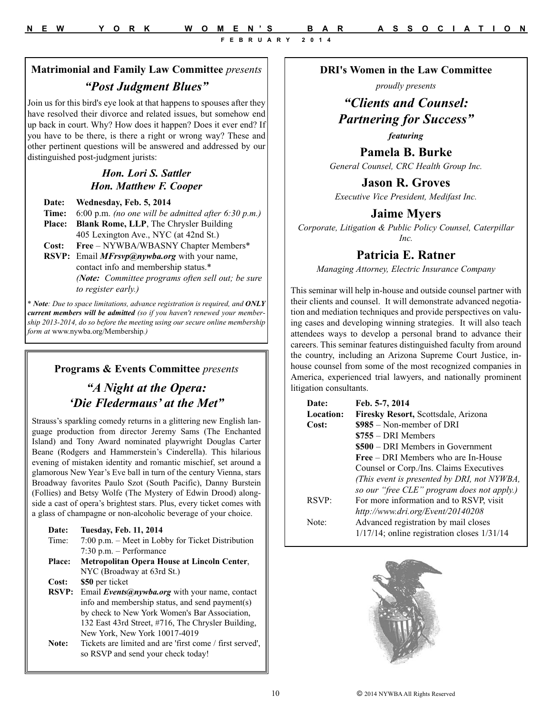# **DRI's Women in the Law Committee**

*proudly presents*

# *"Clients and Counsel: Partnering for Success"*

*featuring*

**Pamela B. Burke** *General Counsel, CRC Health Group Inc.*

**Jason R. Groves**

*Executive Vice President, Medifast Inc.*

#### **Jaime Myers**

*Corporate, Litigation & Public Policy Counsel, Caterpillar Inc.*

#### **Patricia E. Ratner**

*Managing Attorney, Electric Insurance Company* 

This seminar will help in-house and outside counsel partner with their clients and counsel. It will demonstrate advanced negotiation and mediation techniques and provide perspectives on valuing cases and developing winning strategies. It will also teach attendees ways to develop a personal brand to advance their careers. This seminar features distinguished faculty from around the country, including an Arizona Supreme Court Justice, inhouse counsel from some of the most recognized companies in America, experienced trial lawyers, and nationally prominent litigation consultants.

| Date:     | Feb. 5-7, 2014                                   |  |
|-----------|--------------------------------------------------|--|
| Location: | Firesky Resort, Scottsdale, Arizona              |  |
| Cost:     | $$985 - Non-member of DRI$                       |  |
|           | $$755 - DRI$ Members                             |  |
|           | \$500 – DRI Members in Government                |  |
|           | <b>Free</b> – DRI Members who are In-House       |  |
|           | Counsel or Corp./Ins. Claims Executives          |  |
|           | (This event is presented by DRI, not NYWBA,      |  |
|           | so our "free CLE" program does not apply.)       |  |
| RSVP:     | For more information and to RSVP, visit          |  |
|           | http://www.dri.org/Event/20140208                |  |
| Note:     | Advanced registration by mail closes             |  |
|           | $1/17/14$ ; online registration closes $1/31/14$ |  |



# **Matrimonial and Family Law Committee** *presents "Post Judgment Blues"*

Join us for this bird's eye look at that happens to spouses after they have resolved their divorce and related issues, but somehow end up back in court. Why? How does it happen? Does it ever end? If you have to be there, is there a right or wrong way? These and other pertinent questions will be answered and addressed by our distinguished post-judgment jurists:

#### *Hon. Lori S. Sattler Hon. Matthew F. Cooper*

**Date: Wednesday, Feb. 5, 2014 Time:** 6:00 p.m. *(no one will be admitted after 6:30 p.m.)* **Place: Blank Rome, LLP**, The Chrysler Building 405 Lexington Ave., NYC (at 42nd St.) **Cost: Free** – NYWBA/WBASNY Chapter Members\* **RSVP:** Email *MFrsvp@nywba.org* with your name, contact info and membership status.\*

*(Note: Committee programs often sell out; be sure to register early.)*

*\* Note: Due to space limitations, advance registration is required, and ONLY current members will be admitted (so if you haven't renewed your membership 2013-2014, do so before the meeting using our secure online membership form at* www.nywba.org/Membership*.)* 

#### **Programs & Events Committee** *presents*

# *"A Night at the Opera: 'Die Fledermaus' at the Met"*

Strauss's sparkling comedy returns in a glittering new English language production from director Jeremy Sams (The Enchanted Island) and Tony Award nominated playwright Douglas Carter Beane (Rodgers and Hammerstein's Cinderella). This hilarious evening of mistaken identity and romantic mischief, set around a glamorous New Year's Eve ball in turn of the century Vienna, stars Broadway favorites Paulo Szot (South Pacific), Danny Burstein (Follies) and Betsy Wolfe (The Mystery of Edwin Drood) alongside a cast of opera's brightest stars. Plus, every ticket comes with a glass of champagne or non-alcoholic beverage of your choice.

| Date:         | Tuesday, Feb. 11, 2014                                   |
|---------------|----------------------------------------------------------|
| Time:         | $7:00$ p.m. – Meet in Lobby for Ticket Distribution      |
|               | $7:30$ p.m. – Performance                                |
| <b>Place:</b> | Metropolitan Opera House at Lincoln Center,              |
|               | NYC (Broadway at 63rd St.)                               |
| Cost:         | \$50 per ticket                                          |
| <b>RSVP:</b>  | Email <i>Events@nywba.org</i> with your name, contact    |
|               | info and membership status, and send payment(s)          |
|               | by check to New York Women's Bar Association,            |
|               | 132 East 43rd Street, #716, The Chrysler Building,       |
|               | New York, New York 10017-4019                            |
| Note:         | Tickets are limited and are 'first come / first served', |
|               | so RSVP and send your check today!                       |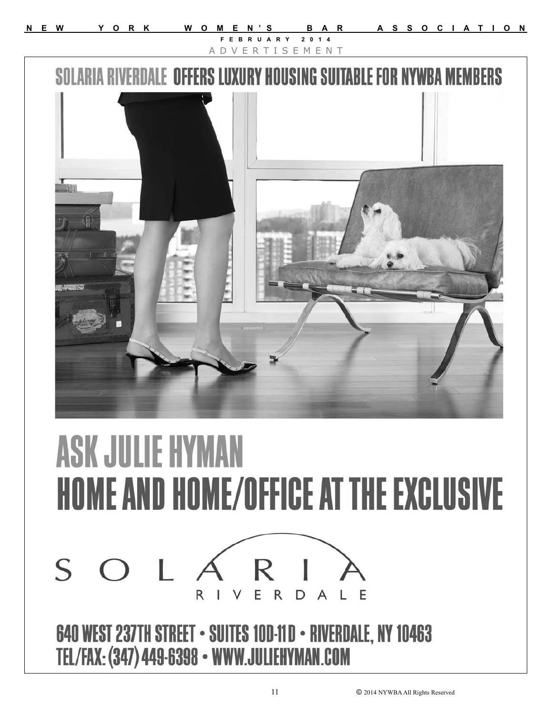**N E W Y O R K W O M E N'S B A R A S S O C I A T I O N FEBRUARY 2014** A D V E R T I S E M E N T**SOLARIA RIVERDALE OFFERS LU** URY HOUSING SUITABLE FOR NYWBA MEMBERS



11 © 2014 NYWBA All Rights Reserved